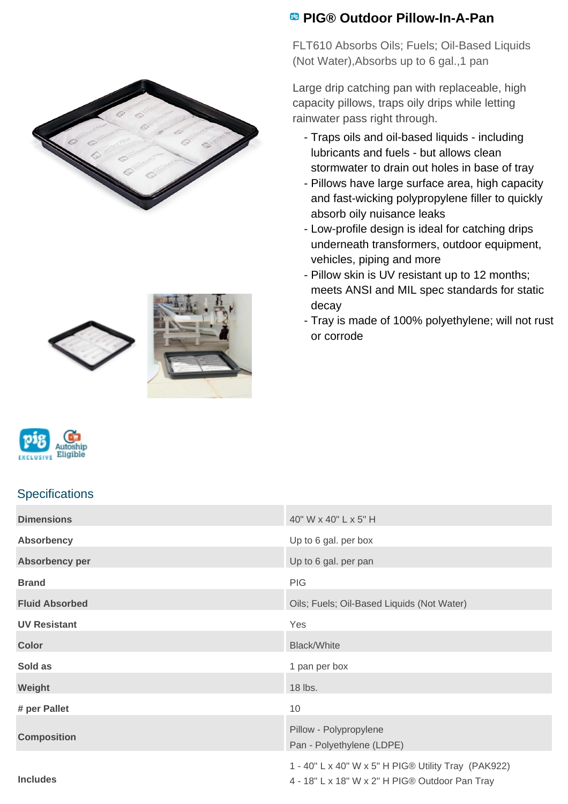







## **Specifications**

## **Dimensions** 40" W x 40" L x 5" H **Absorbency** Up to 6 gal. per box **Absorbency per** Up to 6 gal. per pan **Brand** PIG **Fluid Absorbed** Oils; Fuels; Oil-Based Liquids (Not Water) **UV Resistant** Yes **Color** Black/White **Sold as** 1 pan per box **Weight** 18 lbs. The contract of the contract of the contract of the contract of the contract of the contract of the contract of the contract of the contract of the contract of the contract of the contract of the contract **# per Pallet** 10 **Composition** Pillow - Polypropylene Pan - Polyethylene (LDPE) **Includes** 1 - 40" L x 40" W x 5" H PIG® Utility Tray (PAK922) 4 - 18" L x 18" W x 2" H PIG® Outdoor Pan Tray

## **PIG® Outdoor Pillow-In-A-Pan**

FLT610 Absorbs Oils; Fuels; Oil-Based Liquids (Not Water),Absorbs up to 6 gal.,1 pan

Large drip catching pan with replaceable, high capacity pillows, traps oily drips while letting rainwater pass right through.

- Traps oils and oil-based liquids including lubricants and fuels - but allows clean stormwater to drain out holes in base of tray
- Pillows have large surface area, high capacity and fast-wicking polypropylene filler to quickly absorb oily nuisance leaks
- Low-profile design is ideal for catching drips underneath transformers, outdoor equipment, vehicles, piping and more
- Pillow skin is UV resistant up to 12 months; meets ANSI and MIL spec standards for static decay
- Tray is made of 100% polyethylene; will not rust or corrode